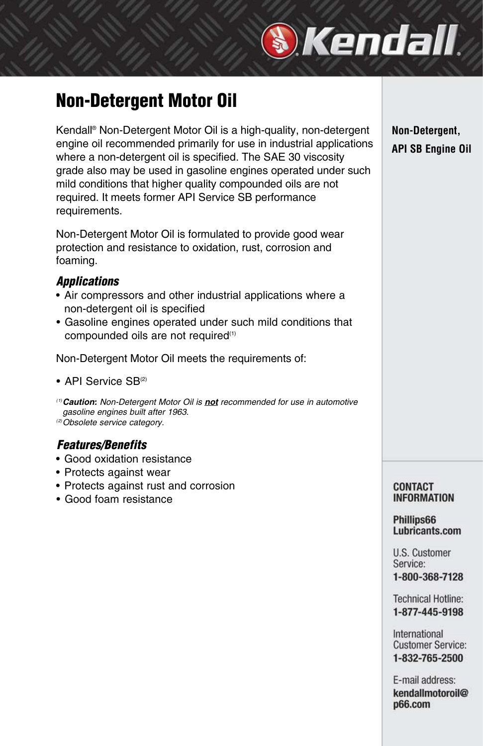### **Non-Detergent Motor Oil**

Kendall® Non-Detergent Motor Oil is a high-quality, non-detergent engine oil recommended primarily for use in industrial applications where a non-detergent oil is specified. The SAE 30 viscosity grade also may be used in gasoline engines operated under such mild conditions that higher quality compounded oils are not required. It meets former API Service SB performance requirements.

Non-Detergent Motor Oil is formulated to provide good wear protection and resistance to oxidation, rust, corrosion and foaming.

#### *Applications*

- Air compressors and other industrial applications where a non-detergent oil is specified
- Gasoline engines operated under such mild conditions that compounded oils are not required<sup>(1)</sup>

Non-Detergent Motor Oil meets the requirements of:

- API Service SB<sup>(2)</sup>
- (1)*Caution:* Non-Detergent Motor Oil is *not* recommended for use in automotive gasoline engines built after 1963.

(2)Obsolete service category.

#### *Features/Benefits*

- Good oxidation resistance
- Protects against wear
- Protects against rust and corrosion
- Good foam resistance

#### **Non-Detergent, API SB Engine Oil**

#### **CONTACT INFORMATION**

#### Phillips66 Lubricants.com

U.S. Customer Service: 1-800-368-7128

**Technical Hotline:** 1-877-445-9198

International **Customer Service:** 1-832-765-2500

E-mail address: kendallmotoroil@ p66.com

# *Skendall*